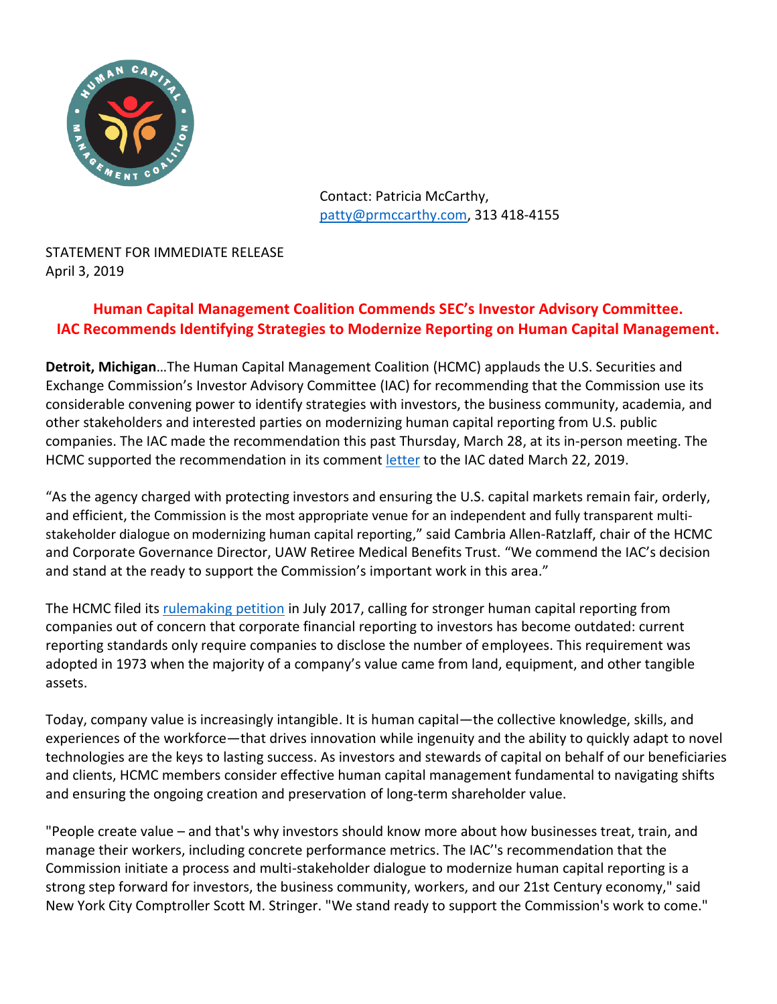

Contact: Patricia McCarthy, [patty@prmccarthy.com,](mailto:patty@prmccarthy.com) 313 418-4155

STATEMENT FOR IMMEDIATE RELEASE April 3, 2019

## **Human Capital Management Coalition Commends SEC's Investor Advisory Committee. IAC Recommends Identifying Strategies to Modernize Reporting on Human Capital Management.**

**Detroit, Michigan**…The Human Capital Management Coalition (HCMC) applauds the U.S. Securities and Exchange Commission's Investor Advisory Committee (IAC) for recommending that the Commission use its considerable convening power to identify strategies with investors, the business community, academia, and other stakeholders and interested parties on modernizing human capital reporting from U.S. public companies. The IAC made the recommendation this past Thursday, March 28, at its in-person meeting. The HCMC supported the recommendation in its comment [letter](https://www.sec.gov/comments/265-28/26528-5180975-183539.pdf) to the IAC dated March 22, 2019.

"As the agency charged with protecting investors and ensuring the U.S. capital markets remain fair, orderly, and efficient, the Commission is the most appropriate venue for an independent and fully transparent multistakeholder dialogue on modernizing human capital reporting," said Cambria Allen-Ratzlaff, chair of the HCMC and Corporate Governance Director, UAW Retiree Medical Benefits Trust. "We commend the IAC's decision and stand at the ready to support the Commission's important work in this area."

The HCMC filed its [rulemaking petition](https://www.sec.gov/rules/petitions/2017/petn4-711.pdf) in July 2017, calling for stronger human capital reporting from companies out of concern that corporate financial reporting to investors has become outdated: current reporting standards only require companies to disclose the number of employees. This requirement was adopted in 1973 when the majority of a company's value came from land, equipment, and other tangible assets.

Today, company value is increasingly intangible. It is human capital—the collective knowledge, skills, and experiences of the workforce—that drives innovation while ingenuity and the ability to quickly adapt to novel technologies are the keys to lasting success. As investors and stewards of capital on behalf of our beneficiaries and clients, HCMC members consider effective human capital management fundamental to navigating shifts and ensuring the ongoing creation and preservation of long-term shareholder value.

"People create value – and that's why investors should know more about how businesses treat, train, and manage their workers, including concrete performance metrics. The IAC''s recommendation that the Commission initiate a process and multi-stakeholder dialogue to modernize human capital reporting is a strong step forward for investors, the business community, workers, and our 21st Century economy," said New York City Comptroller Scott M. Stringer. "We stand ready to support the Commission's work to come."